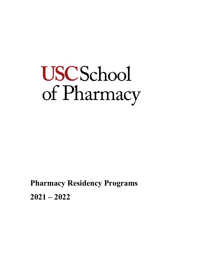# **USCSchool** of Pharmacy

**Pharmacy Residency Programs 2021 – 2022**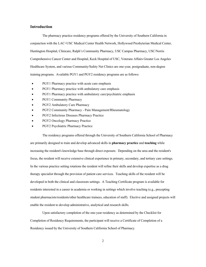# **Introduction**

 The pharmacy practice residency programs offered by the University of Southern California in conjunction with the LAC+USC Medical Center Health Network, Hollywood Presbyterian Medical Center, Huntington Hospital, Clinicare, Ralph's Community Pharmacy, USC Campus Pharmacy, USC/Norris Comprehensive Cancer Center and Hospital, Keck Hospital of USC, Veterans Affairs Greater Los Angeles Healthcare System, and various Community/Safety Net Clinics are one-year, postgraduate, non-degree training programs. Available PGY1 and PGY2 residency programs are as follows:

- PGY1 Pharmacy practice with acute care emphasis
- PGY1 Pharmacy practice with ambulatory care emphasis
- PGY1 Pharmacy practice with ambulatory care/psychiatric emphasis
- PGY1 Community Pharmacy
- PGY2 Ambulatory Care Pharmacy
- PGY2 Community Pharmacy Pain Management/Rheumatology
- PGY2 Infectious Diseases Pharmacy Practice
- PGY2 Oncology Pharmacy Practice
- PGY2 Psychiatric Pharmacy Practice

 The residency programs offered through the University of Southern California School of Pharmacy are primarily designed to train and develop advanced skills in **pharmacy practice** and **teaching** while increasing the resident's knowledge base through direct exposure. Depending on the area and the resident's focus, the resident will receive extensive clinical experience in primary, secondary, and tertiary care settings. In the various practice setting rotations the resident will refine their skills and develop expertise as a drug therapy specialist through the provision of patient care services. Teaching skills of the resident will be developed in both the clinical and classroom settings. A Teaching Certificate program is available for residents interested in a career in academia or working in settings which involve teaching (e.g., precepting student pharmacists/residents/other healthcare trainees, education of staff). Elective and assigned projects will enable the resident to develop administrative, analytical and research skills.

 Upon satisfactory completion of the one-year residency as determined by the Checklist for Completion of Residency Requirements, the participant will receive a Certificate of Completion of a Residency issued by the University of Southern California School of Pharmacy.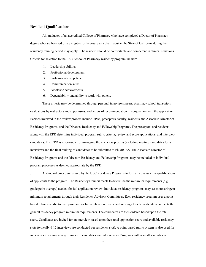# **Resident Qualifications**

 All graduates of an accredited College of Pharmacy who have completed a Doctor of Pharmacy degree who are licensed or are eligible for licensure as a pharmacist in the State of California during the residency training period may apply. The resident should be comfortable and competent in clinical situations. Criteria for selection to the USC School of Pharmacy residency program include:

- 1. Leadership abilities
- 2. Professional development
- 3. Professional competence
- 4. Communication skills
- 5. Scholastic achievements
- 6. Dependability and ability to work with others.

 These criteria may be determined through personal interviews, peers, pharmacy school transcripts, evaluations by instructors and supervisors, and letters of recommendation in conjunction with the application. Persons involved in the review process include RPDs, preceptors, faculty, residents, the Associate Director of Residency Programs, and the Director, Residency and Fellowship Programs. The preceptors and residents along with the RPD determine individual program rubric criteria, review and score applications, and interview candidates. The RPD is responsible for managing the interview process (including inviting candidates for an interview) and the final ranking of candidates to be submitted to PhORCAS. The Associate Director of Residency Programs and the Director, Residency and Fellowship Programs may be included in individual program processes as deemed appropriate by the RPD.

, A standard procedure is used by the USC Residency Programs to formally evaluate the qualifications of applicants to the program. The Residency Council meets to determine the minimum requirements (e.g. grade point average) needed for full application review. Individual residency programs may set more stringent minimum requirements through their Residency Advisory Committees. Each residency program uses a pointbased rubric specific to their program for full application review and scoring of each candidate who meets the general residency program minimum requirements. The candidates are then ordered based upon the total score. Candidates are invited for an interview based upon their total application score and available residency slots (typically 6-12 interviews are conducted per residency slot). A point-based rubric system is also used for interviews involving a large number of candidates and interviewers. Programs with a smaller number of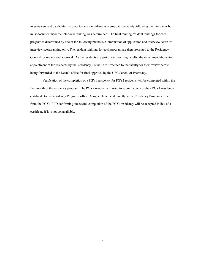interviewers and candidates may opt to rank candidates as a group immediately following the interviews but must document how the interview ranking was determined. The final ranking resident rankings for each program is determined by one of the following methods: Combination of application and interview score or interview score/ranking only. The resident rankings for each program are then presented to the Residency Council for review and approval. As the residents are part of our teaching faculty, the recommendations for appointment of the residents by the Residency Council are presented to the faculty for their review before being forwarded to the Dean's office for final approval by the USC School of Pharmacy.

 Verification of the completion of a PGY1 residency for PGY2 residents will be completed within the first month of the residency program. The PGY2 resident will need to submit a copy of their PGY1 residency certificate to the Residency Programs office. A signed letter sent directly to the Residency Programs office from the PGY1 RPD confirming successful completion of the PGY1 residency will be accepted in lieu of a certificate if it is not yet available.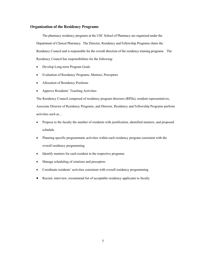# **Organization of the Residency Programs**

 The pharmacy residency programs at the USC School of Pharmacy are organized under the Department of Clinical Pharmacy. The Director, Residency and Fellowship Programs chairs the Residency Council and is responsible for the overall direction of the residency training programs. The Residency Council has responsibilities for the following:

- Develop Long-term Program Goals
- Evaluation of Residency Programs, Mentors, Preceptors
- Allocation of Residency Positions
- Approve Residents' Teaching Activities

The Residency Council composed of residency program directors (RPDs), resident representatives, Associate Director of Residency Programs, and Director, Residency and Fellowship Programs perform

activities such as…

- Propose to the faculty the number of residents with justification, identified mentors, and proposed schedule
- Planning specific programmatic activities within each residency program consistent with the overall residency programming
- Identify mentors for each resident in the respective programs
- Manage scheduling of rotations and preceptors
- Coordinate residents' activities consistent with overall residency programming
- Recruit, interview, recommend list of acceptable residency applicants to faculty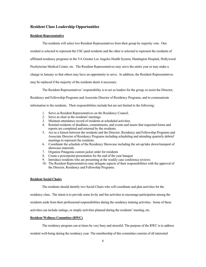# **Resident Class Leadership Opportunities**

#### **Resident Representative**

The residents will select two Resident Representatives from their group by majority vote. One

resident is selected to represent the USC-paid residents and the other is selected to represent the residents of

affiliated residency programs in the VA Greater Los Angeles Health System, Huntington Hospital, Hollywood

Presbyterian Medical Center, etc. The Resident Representatives may serve the entire year or may make a

change in January so that others may have an opportunity to serve. In addition, the Resident Representatives

may be replaced if the majority of the residents deem it necessary.

The Resident Representatives' responsibility is to act as leaders for the group, to assist the Director,

Residency and Fellowship Programs and Associate Director of Residency Programs, and to communicate

information to the residents. Their responsibilities include but are not limited to the following:

- 1. Serve as Resident Representatives on the Residency Council.
- 2. Serve as chair at the residents' meetings.
- 3. Maintain attendance record of residents at scheduled activities.
- 4. Remind residents of deadlines, commitments, and events and insure that requested forms and reports are completed and returned by the residents.
- 5. Act as a liaison between the residents and the Director, Residency and Fellowship Programs and Associate Director of Residency Programs including scheduling and attending quarterly debrief meetings to represent the residents.
- 6. Coordinate the schedule of the Residency Showcase including the set-up/take down/transport of showcase materials.
- 7. Organize Patagonia custom jacket order for residents
- 8. Create a powerpoint presentation for the end of the year banquet
- 9. Introduce residents who are presenting at the weekly case conference reviews
- 10. The Resident Representatives may delegate aspects of their responsibilities with the approval of the Director, Residency and Fellowship Programs.

#### **Resident Social Chairs**

The residents should identify two Social Chairs who will coordinate and plan activities for the

residency class. The intent is to provide some levity and fun activities to encourage participation among the

residents aside from their professional responsibilities during the residency training activities. Some of these

activities can include outings, or simply activities planned during the residents' meeting, etc.

#### **Resident Wellness Committee (RWC)**

The residency program can at times be very busy and stressful. The purpose of the RWC is to address

resident well-being during the residency year. The membership of this committee consists of all interested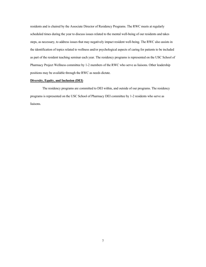residents and is chaired by the Associate Director of Residency Programs. The RWC meets at regularly scheduled times during the year to discuss issues related to the mental well-being of our residents and takes steps, as necessary, to address issues that may negatively impact resident well-being. The RWC also assists in the identification of topics related to wellness and/or psychological aspects of caring for patients to be included as part of the resident teaching seminar each year. The residency programs is represented on the USC School of Pharmacy Project Wellness committee by 1-2 members of the RWC who serve as liaisons. Other leadership positions may be available through the RWC as needs dictate.

#### **Diversity, Equity, and Inclusion (DEI)**

 The residency programs are committed to DEI within, and outside of our programs. The residency programs is represented on the USC School of Pharmacy DEI committee by 1-2 residents who serve as liaisons.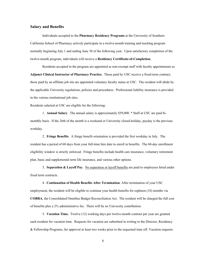# **Salary and Benefits**

Individuals accepted to the **Pharmacy Residency Programs** at the University of Southern California School of Pharmacy actively participate in a twelve-month training and teaching program normally beginning July 1 and ending June 30 of the following year. Upon satisfactory completion of the twelve-month program, individuals will receive a **Residency Certificate-of-Completion.** 

 Residents accepted in the program are appointed as non-exempt staff with faculty appointments as **Adjunct Clinical Instructor of Pharmacy Practice.** Those paid by USC receive a fixed-term contract; those paid by an affiliate job site are appointed voluntary faculty status at USC. The resident will abide by the applicable University regulations, policies and procedures. Professional liability insurance is provided in the various institutional job sites.

Residents salaried at USC are eligible for the following:

 1. **Annual Salary**. The annual salary is approximately \$59,000. \* Staff at USC are paid bimonthly basis. If the 26th of the month is a weekend or University closed holiday, payday is the previous workday.

 2. **Fringe Benefits**. A fringe benefit orientation is provided the first workday in July. The resident has a period of 60 days from your full-time hire date to enroll in benefits. The 60-day enrollment eligibility window is strictly enforced. Fringe benefits include health care insurance, voluntary retirement plan, basic and supplemental term life insurance, and various other options.

 3. **Separation & Layoff Pay**. No separation or layoff benefits are paid to employees hired under fixed term contracts.

 4. **Continuation of Health Benefits After Termination**. After termination of your USC employment, the resident will be eligible to continue your health benefits for eighteen (18) months via **COBRA**, the Consolidated Omnibus Budget Reconciliation Act. The resident will be charged the full cost of benefits plus a 2% administrative fee. There will be no University contribution.

5. **Vacation Time.** Twelve (12) working days per twelve-month contract per year are granted each resident for vacation time. Requests for vacation are submitted in writing to the Director, Residency & Fellowship Programs, for approval at least two weeks prior to the requested time off. Vacation requests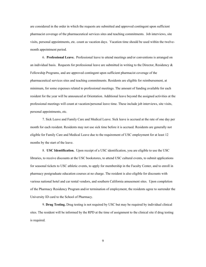are considered in the order in which the requests are submitted and approved contingent upon sufficient pharmacist coverage of the pharmaceutical services sites and teaching commitments. Job interviews, site visits, personal appointments, etc. count as vacation days. Vacation time should be used within the twelvemonth appointment period.

 6. **Professional Leave.** Professional leave to attend meetings and/or conventions is arranged on an individual basis. Requests for professional leave are submitted in writing to the Director, Residency  $\&$ Fellowship Programs, and are approved contingent upon sufficient pharmacist coverage of the pharmaceutical services sites and teaching commitments. Residents are eligible for reimbursement, at minimum, for some expenses related to professional meetings. The amount of funding available for each resident for the year will be announced at Orientation. Additional leave beyond the assigned activities at the professional meetings will count at vacation/personal leave time. These include job interviews, site visits, personal appointments, etc.

 7. Sick Leave and Family Care and Medical Leave. Sick leave is accrued at the rate of one day per month for each resident. Residents may not use sick time before it is accrued. Residents are generally not eligible for Family Care and Medical Leave due to the requirement of USC employment for at least 12 months by the start of the leave.

 8. **USC Identification.** Upon receipt of a USC identification, you are eligible to use the USC libraries, to receive discounts at the USC bookstores, to attend USC cultural events, to submit applications for seasonal tickets to USC athletic events, to apply for membership in the Faculty Center, and to enroll in pharmacy postgraduate education courses at no charge. The resident is also eligible for discounts with various national hotel and car rental vendors, and southern California amusement sites. Upon completion of the Pharmacy Residency Program and/or termination of employment, the residents agree to surrender the University ID card to the School of Pharmacy.

 9. **Drug Testing.** Drug testing is not required by USC but may be required by individual clinical sites. The resident will be informed by the RPD at the time of assignment to the clinical site if drug testing is required.

9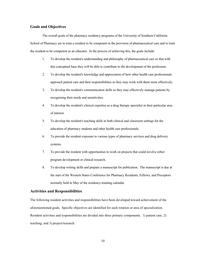# **Goals and Objectives**

 The overall goals of the pharmacy residency programs of the University of Southern California School of Pharmacy are to train a resident to be competent in the provision of pharmaceutical care and to train the resident to be competent as an educator. In the process of achieving this, the goals include:

- 1. To develop the resident's understanding and philosophy of pharmaceutical care so that with this conceptual base they will be able to contribute to the development of the profession.
- 2. To develop the resident's knowledge and appreciation of how other health care professionals approach patient care and their responsibilities so they may work with them more effectively.
- 3. To develop the resident's communication skills so they may effectively manage patients by recognizing their needs and sensitivities.
- 4. To develop the resident's clinical expertise as a drug therapy specialist in their particular area of interest.
- 5. To develop the resident's teaching skills in both clinical and classroom settings for the education of pharmacy students and other health care professionals.
- 6. To provide the resident exposure to various types of pharmacy services and drug delivery systems.
- 7. To provide the resident with opportunities to work on projects that could involve either program development or clinical research.
- 8. To develop writing skills and prepare a manuscript for publication. The manuscript is due at the start of the Western States Conference for Pharmacy Residents, Fellows, and Preceptors normally held in May of the residency-training calendar.

# **Activities and Responsibilities**

The following resident activities and responsibilities have been developed toward achievement of the aforementioned goals. Specific objectives are identified for each rotation or area of specialization. Resident activities and responsibilities are divided into three primary components. 1) patient care, 2) teaching; and 3) project/research.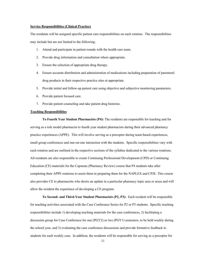#### **Service Responsibilities (Clinical Practice)**

The residents will be assigned specific patient care responsibilities on each rotation. The responsibilities may include but are not limited to the following:

- 1. Attend and participate in patient rounds with the health care team.
- 2. Provide drug information and consultation where appropriate.
- 3. Ensure the selection of appropriate drug therapy.
- 4. Ensure accurate distribution and administration of medications including preparation of parenteral drug products in their respective practice sites at appropriate.
- 5. Provide initial and follow-up patient care using objective and subjective monitoring parameters.
- 6. Provide patient focused care.
- 7. Provide patient counseling and take patient drug histories.

#### **Teaching Responsibilities**

 **To Fourth Year Student Pharmacists (P4):** The residents are responsible for teaching and for serving as a role model pharmacist to fourth year student pharmacists during their advanced pharmacy practice experiences (APPE). This will involve serving as a preceptor during team-based experiences, small group conferences and one-on-one interaction with the students. Specific responsibilities vary with each rotation and are outlined in the respective sections of the syllabus dedicated to the various rotations. All residents are also responsible to create Continuing Professional Development (CPD) or Continuing Education (CE) materials for the Capstone (Pharmacy Review) course that P4 students take after completing their APPE rotations to assist them in preparing them for the NAPLEX and CPJE. This course also provides CE to pharmacists who desire an update in a particular pharmacy topic area or areas and will allow the resident the experience of developing a CE program.

 **To Second- and Third-Year Student Pharmacists (P2, P3):** Each resident will be responsible for teaching activities associated with the Case Conference Series for P2 or P3 students. Specific teaching responsibilities include 1) developing teaching materials for the case conferences, 2) facilitating a discussion group for Case Conference for one (PGY2) or two (PGY1) semesters, to be held weekly during the school year, and 3) evaluating the case conference discussions and provide formative feedback to students for each weekly case. In addition, the residents will be responsible for serving as a preceptor for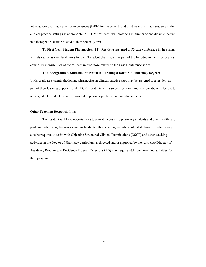introductory pharmacy practice experiences (IPPE) for the second- and third-year pharmacy students in the clinical practice settings as appropriate. All PGY2 residents will provide a minimum of one didactic lecture in a therapeutics course related to their specialty area.

**To First Year Student Pharmacists (P1):** Residents assigned to P3 case conference in the spring will also serve as case facilitators for the P1 student pharmacists as part of the Introduction to Therapeutics course. Responsibilities of the resident mirror those related to the Case Conference series.

#### **To Undergraduate Students Interested in Pursuing a Doctor of Pharmacy Degree:**

Undergraduate students shadowing pharmacists in clinical practice sites may be assigned to a resident as part of their learning experience. All PGY1 residents will also provide a minimum of one didactic lecture to undergraduate students who are enrolled in pharmacy-related undergraduate courses.

#### **Other Teaching Responsibilities**

 The resident will have opportunities to provide lectures to pharmacy students and other health care professionals during the year as well as facilitate other teaching activities not listed above. Residents may also be required to assist with Objective Structured Clinical Examinations (OSCE) and other teaching activities in the Doctor of Pharmacy curriculum as directed and/or approved by the Associate Director of Residency Programs. A Residency Program Director (RPD) may require additional teaching activities for their program.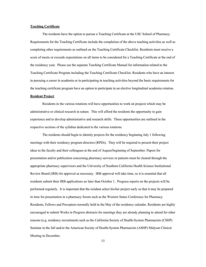#### **Teaching Certificate**

The residents have the option to pursue a Teaching Certificate at the USC School of Pharmacy. Requirements for the Teaching Certificate include the completion of the above teaching activities as well as completing other requirements as outlined on the Teaching Certificate Checklist. Residents must receive a score of meets or exceeds expectations on all items to be considered for a Teaching Certificate at the end of the residency year. Please see the separate Teaching Certificate Manual for information related to the Teaching Certificate Program including the Teaching Certificate Checklist. Residents who have an interest in pursuing a career in academia or in participating in teaching activities beyond the basic requirements for the teaching certificate program have an option to participate in an elective longitudinal academia rotation.

# **Resident Project**

 Residents in the various rotations will have opportunities to work on projects which may be administrative or clinical research in nature. This will afford the residents the opportunity to gain experience and to develop administrative and research skills. These opportunities are outlined in the respective sections of the syllabus dedicated to the various rotations.

 The residents should begin to identity projects for the residency beginning July 1 following meetings with their residency program directors (RPDs). They will be required to present their project ideas to the faculty and their colleagues at the end of August/beginning of September. Papers for presentation and/or publication concerning pharmacy services or patients must be cleared through the appropriate pharmacy supervisors and the University of Southern California Health Science Institutional Review Board (IRB) for approval as necessary. IRB approval will take time, so it is essential that all residents submit their IRB applications no later than October 1. Progress reports on the projects will be performed regularly. It is important that the resident select his/her project early so that it may be prepared in time for presentation in a pharmacy forum such as the Western States Conference for Pharmacy Residents, Fellows and Preceptors normally held in the May of the residency calendar. Residents are highly encouraged to submit Works in Progress abstracts for meetings they are already planning to attend for other reasons (e.g. residency recruitment) such as the California Society of Health-System Pharmacists (CSHP) Seminar in the fall and/or the American Society of Health-System Pharmacists (ASHP) Midyear Clinical Meeting in December.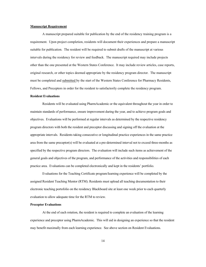#### **Manuscript Requirement**

 A manuscript prepared suitable for publication by the end of the residency training program is a requirement. Upon project completion, residents will document their experiences and prepare a manuscript suitable for publication. The resident will be required to submit drafts of the manuscript at various intervals during the residency for review and feedback. The manuscript required may include projects other than the one presented at the Western States Conference. It may include review articles, case reports, original research, or other topics deemed appropriate by the residency program director. The manuscript must be completed and submitted by the start of the Western States Conference for Pharmacy Residents, Fellows, and Preceptors in order for the resident to satisfactorily complete the residency program.

#### **Resident Evaluations**

 Residents will be evaluated using PharmAcademic or the equivalent throughout the year in order to maintain standards of performance, ensure improvement during the year, and to achieve program goals and objectives. Evaluations will be performed at regular intervals as determined by the respective residency program directors with both the resident and preceptor discussing and signing off the evaluation at the appropriate intervals. Residents taking consecutive or longitudinal practice experiences in the same practice area from the same preceptor(s) will be evaluated at a pre-determined interval not to exceed three-months as specified by the respective program directors. The evaluation will include such items as achievement of the general goals and objectives of the program, and performance of the activities and responsibilities of each practice area. Evaluations can be completed electronically and kept in the residents' portfolio.

 Evaluations for the Teaching Certificate program/learning experience will be completed by the assigned Resident Teaching Mentor (RTM). Residents must upload all teaching documentation to their electronic teaching portofolio on the residency Blackboard site at least one week prior to each quarterly evaluation to allow adequate time for the RTM to review.

#### **Preceptor Evaluations**

 At the end of each rotation, the resident is required to complete an evaluation of the learning experience and preceptor using PharmAcademic. This will aid in designing an experience so that the resident may benefit maximally from each learning experience. See above section on Resident Evaluations.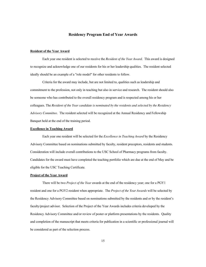#### **Residency Program End of Year Awards**

#### **Resident of the Year Award**

 Each year one resident is selected to receive the *Resident of the Year Award*. This award is designed to recognize and acknowledge one of our residents for his or her leadership qualities. The resident selected ideally should be an example of a "role model" for other residents to follow.

 Criteria for the award may include, but are not limited to, qualities such as leadership and commitment to the profession, not only in teaching but also in service and research. The resident should also be someone who has contributed to the overall residency program and is respected among his or her colleagues. The *Resident of the Year candidate is nominated by the residents and selected by the Residency Advisory Committee.* The resident selected will be recognized at the Annual Residency and Fellowship Banquet held at the end of the training period.

#### **Excellence in Teaching Award**

Each year one resident will be selected for the *Excellence in Teaching Award* by the Residency Advisory Committee based on nominations submitted by faculty, resident preceptors, residents and students. Consideration will include overall contributions to the USC School of Pharmacy programs from faculty. Candidates for the award must have completed the teaching portfolio which are due at the end of May and be eligible for the USC Teaching Certificate.

#### **Project of the Year Award**

 There will be two *Project of the Year* awards at the end of the residency year; one for a PGY1 resident and one for a PGY2 resident when appropriate. The *Project of the Year Awards* will be selected by the Residency Advisory Committee based on nominations submitted by the residents and or by the resident's faculty/project advisor. Selection of the Project of the Year Awards includes criteria developed by the Residency Advisory Committee and/or review of poster or platform presentations by the residents. Quality and completion of the manuscript that meets criteria for publication in a scientific or professional journal will be considered as part of the selection process.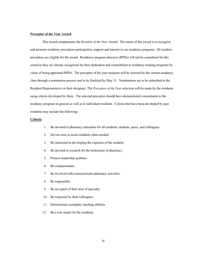#### **Preceptor of the Year Award**

 This award complements the *Resident of the Year* Award. The intent of this award is to recognize and promote residency preceptors participation, support and interest in our residency programs. All resident preceptors are eligible for the award. Residency program directors (RPDs) will not be considered for this award as they are already recognized for their dedication and commitment to residency training programs by virtue of being appointed RPDs. The preceptor of the year recipient will be selected by the current residency class through a nomination process and to be finalized by May 31. Nominations are to be submitted to the Resident Representative or their designate. The *Preceptor of the Year* selection will be made by the residents using criteria developed by them. The selected preceptor should have demonstrated commitment to the residency program in general as well as to individual residents. Criteria that have been developed by past residents may include the following:

#### **Criteria**

- 1. Be devoted to pharmacy education for all residents, students, peers, and colleagues.
- 2. Devote time to assist residents when needed.
- 3. Be interested in developing the expertise of the resident.
- 4. Be devoted to research for the betterment of pharmacy.
- 5. Possess leadership qualities.
- 6. Be compassionate.
- 7. Be involved with extracurricular pharmacy activities.
- 8. Be responsible.
- 9. Be an expert of their area of specialty.
- 10. Be respected by their colleagues.
- 11. Demonstrate exemplary teaching abilities.
- 12. Be a role model for the residents.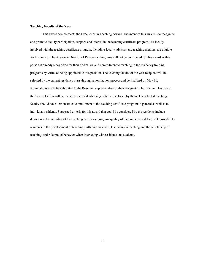## **Teaching Faculty of the Year**

This award complements the Excellence in Teaching Award. The intent of this award is to recognize and promote faculty participation, support, and interest in the teaching certificate program. All faculty involved with the teaching certificate program, including faculty advisors and teaching mentors, are eligible for this award. The Associate Director of Residency Programs will not be considered for this award as this person is already recognized for their dedication and commitment to teaching in the residency training programs by virtue of being appointed to this position. The teaching faculty of the year recipient will be selected by the current residency class through a nomination process and be finalized by May 31, Nominations are to be submitted to the Resident Representative or their designate. The Teaching Faculty of the Year selection will be made by the residents using criteria developed by them. The selected teaching faculty should have demonstrated commitment to the teaching certificate program in general as well as to individual residents. Suggested criteria for this award that could be considered by the residents include devotion to the activities of the teaching certificate program, quality of the guidance and feedback provided to residents in the development of teaching skills and materials, leadership in teaching and the scholarship of teaching, and role model behavior when interacting with residents and students.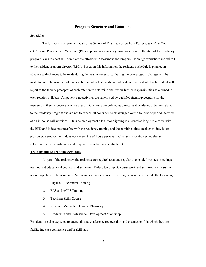## **Program Structure and Rotations**

#### **Schedules**

 The University of Southern California School of Pharmacy offers both Postgraduate Year One (PGY1) and Postgraduate Year Two (PGY2) pharmacy residency programs. Prior to the start of the residency program, each resident will complete the "Resident Assessment and Program Planning" worksheet and submit to the resident program director (RPD). Based on this information the resident's schedule is planned in advance with changes to be made during the year as necessary. During the year program changes will be made to tailor the resident rotations to fit the individual needs and interests of the resident. Each resident will report to the faculty preceptor of each rotation to determine and review his/her responsibilities as outlined in each rotation syllabus. All patient care activities are supervised by qualified faculty/preceptors for the residents in their respective practice areas. Duty hours are defined as clinical and academic activities related to the residency program and are not to exceed 80 hours per week averaged over a four-week period inclusive of all in-house call activities. Outside employment a.k.a. moonlighting is allowed as long it is cleared with the RPD and it does not interfere with the residency training and the combined time (residency duty hours plus outside employment) does not exceed the 80 hours per week. Changes in rotation schedules and selection of elective rotations shall require review by the specific RPD

## **Training and Educational Seminars**

 As part of the residency, the residents are required to attend regularly scheduled business meetings, training and educational courses, and seminars. Failure to complete coursework and seminars will result in non-completion of the residency. Seminars and courses provided during the residency include the following:

- 1. Physical Assessment Training
- 2. BLS and ACLS Training
- 3. Teaching Skills Course
- 4. Research Methods in Clinical Pharmacy
- 5. Leadership and Professional Development Workshop

Residents are also expected to attend all case conference reviews during the semester(s) in which they are facilitating case conference and/or skill labs.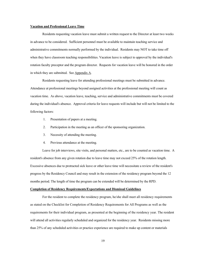#### **Vacation and Professional Leave Time**

 Residents requesting vacation leave must submit a written request to the Director at least two weeks in advance to be considered. Sufficient personnel must be available to maintain teaching service and administrative commitments normally performed by the individual. Residents may NOT to take time off when they have classroom teaching responsibilities. Vacation leave is subject to approval by the individual's rotation faculty preceptor and the program director. Requests for vacation leave will be honored in the order in which they are submitted. See Appendix A.

 Residents requesting leave for attending professional meetings must be submitted in advance. Attendance at professional meetings beyond assigned activities at the professional meeting will count as vacation time. As above, vacation leave, teaching, service and administrative commitments must be covered during the individual's absence. Approval criteria for leave requests will include but will not be limited to the following factors:

- 1. Presentation of papers at a meeting.
- 2. Participation in the meeting as an officer of the sponsoring organization.
- 3. Necessity of attending the meeting.
- 4. Previous attendance at the meeting.

 Leave for job interviews, site visits, and personal matters, etc., are to be counted as vacation time. A resident's absence from any given rotation due to leave time may not exceed 25% of the rotation length. Excessive absences due to protracted sick leave or other leave time will necessitate a review of the resident's progress by the Residency Council and may result in the extension of the residency program beyond the 12 months period. The length of time the program can be extended will be determined by the RPD.

## **Completion of Residency Requirements/Expectations and Dismissal Guidelines**

 For the resident to complete the residency program, he/she shall meet all residency requirements as stated on the Checklist for Completion of Residency Requirements for All Programs as well as the requirements for their individual program, as presented at the beginning of the residency year. The resident will attend all activities regularly scheduled and organized for the residency year. Residents missing more than 25% of any scheduled activities or practice experience are required to make up content or materials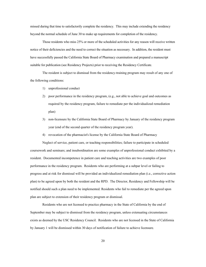missed during that time to satisfactorily complete the residency. This may include extending the residency beyond the normal schedule of June 30 to make up requirements for completion of the residency.

 Those residents who miss 25% or more of the scheduled activities for any reason will receive written notice of their deficiencies and the need to correct the situation as necessary. In addition, the resident must have successfully passed the California State Board of Pharmacy examination and prepared a manuscript suitable for publication (see Residency Projects) prior to receiving the Residency Certificate.

The resident is subject to dismissal from the residency-training program may result of any one of the following conditions:

- 1) unprofessional conduct
- 2) poor performance in the residency program, (e.g., not able to achieve goal and outcomes as required by the residency program, failure to remediate per the individualized remediation plan)
- 3) non-licensure by the California State Board of Pharmacy by January of the residency program year (end of the second quarter of the residency program year).
- 4) revocation of the pharmacist's license by the California State Board of Pharmacy

 Neglect of service, patient care, or teaching responsibilities; failure to participate in scheduled coursework and seminars; and insubordination are some examples of unprofessional conduct exhibited by a resident. Documented incompetence in patient care and teaching activities are two examples of poor performance in the residency program. Residents who are performing at a subpar level or failing to progress and at risk for dismissal will be provided an individualized remediation plan (i.e., corrective action plan) to be agreed upon by both the resident and the RPD. The Director, Residency and Fellowship will be notified should such a plan need to be implemented. Residents who fail to remediate per the agreed upon plan are subject to extension of their residency program or dismissal.

 Residents who are not licensed to practice pharmacy in the State of California by the end of September may be subject to dismissal from the residency program, unless extenuating circumstances exists as deemed by the USC Residency Council. Residents who are not licensed in the State of California by January 1 will be dismissed within 30 days of notification of failure to achieve licensure.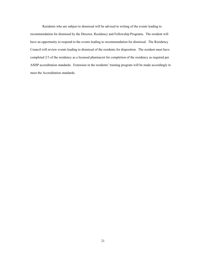Residents who are subject to dismissal will be advised in writing of the events leading to recommendation for dismissal by the Director, Residency and Fellowship Programs. The resident will have an opportunity to respond to the events leading to recommendation for dismissal. The Residency Council will review events leading to dismissal of the residents for disposition. The resident must have completed 2/3 of the residency as a licensed pharmacist for completion of the residency as required per ASHP accreditation standards. Extension in the residents' training program will be made accordingly to meet the Accreditation standards.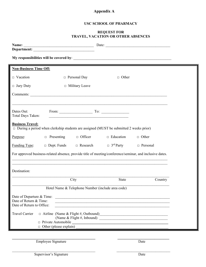# **Appendix A**

# **USC SCHOOL OF PHARMACY**

# **REQUEST FOR TRAVEL, VACATION OR OTHER ABSENCES**

|                                                                                                                          |                                                                                                                  |                                                   | Date:        |  |  |
|--------------------------------------------------------------------------------------------------------------------------|------------------------------------------------------------------------------------------------------------------|---------------------------------------------------|--------------|--|--|
|                                                                                                                          |                                                                                                                  |                                                   |              |  |  |
|                                                                                                                          |                                                                                                                  |                                                   |              |  |  |
| <b>Non-Business Time Off:</b>                                                                                            |                                                                                                                  |                                                   |              |  |  |
| $\Box$ Vacation                                                                                                          | $\Box$ Personal Day                                                                                              | $\Box$ Other                                      |              |  |  |
| $\Box$ Jury Duty                                                                                                         | $\Box$ Military Leave                                                                                            |                                                   |              |  |  |
|                                                                                                                          |                                                                                                                  |                                                   |              |  |  |
|                                                                                                                          |                                                                                                                  |                                                   |              |  |  |
| Dates Out:<br>Total Days Taken:                                                                                          | and the control of the control of the control of the control of the control of the control of the control of the |                                                   |              |  |  |
| <b>Business Travel:</b><br>$\Box$ During a period when clerkship students are assigned (MUST be submitted 2 weeks prior) |                                                                                                                  |                                                   |              |  |  |
| $\Box$ Presenting<br>Purpose:                                                                                            | $\Box$ Officer                                                                                                   | $\Box$ Education                                  | $\Box$ Other |  |  |
| $\Box$ Dept. Funds<br><b>Funding Type:</b>                                                                               | $\Box$ Research                                                                                                  | $\Box$ 3 <sup>rd</sup> Party                      | □ Personal   |  |  |
| For approved business-related absence, provide title of meeting/conference/seminar, and inclusive dates.                 |                                                                                                                  |                                                   |              |  |  |
|                                                                                                                          |                                                                                                                  |                                                   |              |  |  |
| Destination:                                                                                                             |                                                                                                                  |                                                   |              |  |  |
|                                                                                                                          | City                                                                                                             | <b>State</b>                                      | Country      |  |  |
|                                                                                                                          |                                                                                                                  | Hotel Name & Telephone Number (include area code) |              |  |  |
| Date of Departure & Time:<br>Date of Return & Time:<br>Date of Return to Office:                                         |                                                                                                                  |                                                   |              |  |  |
| <b>Travel Carrier</b>                                                                                                    |                                                                                                                  |                                                   |              |  |  |
| □ Private Automobile                                                                                                     |                                                                                                                  |                                                   |              |  |  |
| $\Box$ Other (please explain)                                                                                            |                                                                                                                  |                                                   |              |  |  |
|                                                                                                                          |                                                                                                                  |                                                   |              |  |  |

\_\_\_\_\_\_\_\_\_\_\_\_\_\_\_\_\_\_\_\_\_\_\_\_\_\_\_\_\_\_\_\_\_\_\_\_\_\_\_\_\_\_\_\_\_ \_\_\_\_\_\_\_\_\_\_\_\_\_\_\_\_\_\_\_\_\_\_\_\_\_\_\_\_\_

**Employee Signature Date**